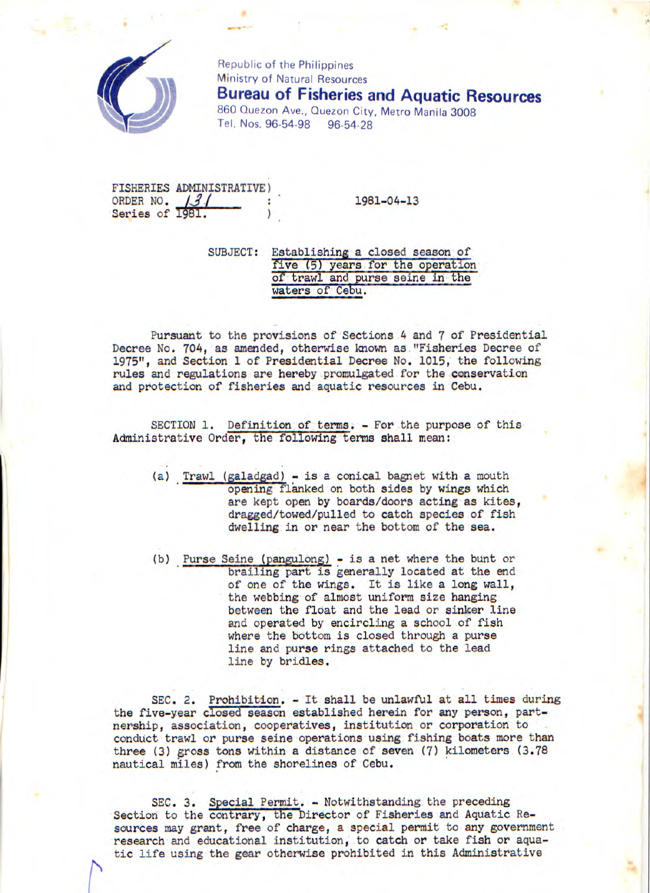

Republic of the Philippines Ministry of Natural Resources **Bureau of Fisheries and Aquatic Resources**  860 Quezon Ave., Quezon City, Metro Manila 3008 Tel. Nos. 96-54-98 96-54-28

FISHERIES ADMINISTRATIVE) ORDER NO.  $13/$  : 1981-04-13 Series of 1981.

SUBJECT: Establishing a closed season of five (5) years for the operation of trawl and purse seine in the waters of Cebu.

Pursuant to the provisions of Sections 4 and 7 of Presidential Decree No. 704, as amended, otherwise known as."Fisheries Decree of 1975", and Section 1 of Presidential Decree No. 1015, the following rules and regulations are hereby promulgated for the conservation and protection of fisheries and aquatic resources in Cebu.

SECTION 1. Definition of terms. - For the purpose of this Administrative Order, the following terms shall mean:

- (a) Trawl (galadgad) is a conical bagnet with a mouth opening flanked on both sides by wings which are kept open by boards/doors acting as kites, dragged/towed/pulled to catch species of fish dwelling in or near the bottom of the sea.
- (b) Purse Seine *(pangulong)* is a net where the bunt or brailing part is generally located at the end of one of the wings. It is like a long wall, the webbing of almost uniform size hanging between the float and the lead or sinker line and operated by encircling a school of fish where the bottom is closed through a purse line and purse rings attached to the lead line by bridles.

SEC. 2. Prohibition. - It shall be unlawful at all times during the five-year closed season established herein for any person, partnership, association, cooperatives, institution or corporation to conduct trawl or purse seine operations using fishing boats more than three (3) gross tons within a distance of seven (7) kilometers (3.78 nautical miles) from the shorelines of Cebu.

SEC. 3. Special Permit. - Notwithstanding the preceding Section to the contrary, the Director of Fisheries and Aquatic Resources may grant, free of charge, a special permit to any government research and educational institution, to catch or take fish or aquatic life using the gear otherwise prohibited in this Administrative